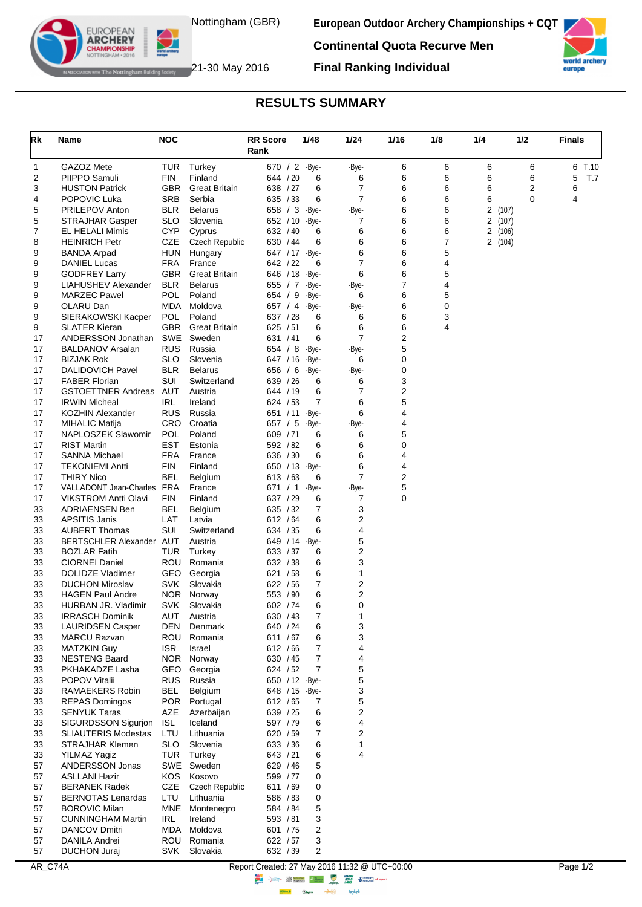

**European Outdoor Archery Championships + CQT**

**Final Ranking Individual**



world arcl europe

The Nottingham Building Society  $21$ -30 May 2016

EUROPEAN<br>**ARCHERY MPIONSHII** 

## **RESULTS SUMMARY**

| Rk       | Name                                                      | <b>NOC</b>               |                                    | <b>RR Score</b>             | 1/48           | 1/24                | 1/16   | 1/8    | 1/4                 |        | 1/2    | <b>Finals</b> |      |
|----------|-----------------------------------------------------------|--------------------------|------------------------------------|-----------------------------|----------------|---------------------|--------|--------|---------------------|--------|--------|---------------|------|
|          |                                                           |                          |                                    | Rank                        |                |                     |        |        |                     |        |        |               |      |
| 1        | GAZOZ Mete                                                | <b>TUR</b>               | Turkey                             | 670 / 2 -Bye-               |                | -Bye-               | 6      | 6      | 6                   |        | 6      | 6             | T.10 |
| 2        | PIIPPO Samuli                                             | FIN                      | Finland                            | 644 / 20                    | 6              | 6                   | 6      | 6      | 6                   |        | 6      | 5             | T.7  |
| 3        | <b>HUSTON Patrick</b>                                     | <b>GBR</b>               | <b>Great Britain</b><br>Serbia     | 638 / 27                    | 6<br>6         | 7<br>$\overline{7}$ | 6<br>6 | 6      | 6                   |        | 2<br>0 | 6<br>4        |      |
| 4<br>5   | POPOVIC Luka<br>PRILEPOV Anton                            | SRB<br>BLR               | <b>Belarus</b>                     | 635 / 33<br>658 $/3$        | -Bye-          | -Bye-               | 6      | 6<br>6 | 6<br>$\overline{2}$ | (107)  |        |               |      |
| 5        | <b>STRAJHAR Gasper</b>                                    | <b>SLO</b>               | Slovenia                           | 652 / 10                    | -Bye-          | 7                   | 6      | 6      | 2                   | (107)  |        |               |      |
| 7        | EL HELALI Mimis                                           | <b>CYP</b>               | Cyprus                             | 632 / 40                    | 6              | 6                   | 6      | 6      |                     | 2(106) |        |               |      |
| 8        | <b>HEINRICH Petr</b>                                      | CZE                      | Czech Republic                     | 630 / 44                    | 6              | 6                   | 6      | 7      |                     | 2(104) |        |               |      |
| 9        | <b>BANDA Arpad</b>                                        | HUN                      | Hungary                            | 647 / 17 - Bye-             |                | 6                   | 6      | 5      |                     |        |        |               |      |
| 9        | <b>DANIEL Lucas</b>                                       | <b>FRA</b>               | France                             | 642 / 22                    | 6              | $\overline{7}$      | 6      | 4      |                     |        |        |               |      |
| 9        | <b>GODFREY Larry</b>                                      | <b>GBR</b>               | <b>Great Britain</b>               | 646 / 18                    | -Bye-          | 6                   | 6      | 5      |                     |        |        |               |      |
| 9<br>9   | LIAHUSHEV Alexander<br><b>MARZEC Pawel</b>                | <b>BLR</b><br>POL        | <b>Belarus</b><br>Poland           | 655 $/7$<br>654 / 9         | -Bye-<br>-Bye- | -Bye-<br>6          | 7<br>6 | 4<br>5 |                     |        |        |               |      |
| 9        | OLARU Dan                                                 | <b>MDA</b>               | Moldova                            | 657 / 4                     | -Bye-          | -Bye-               | 6      | 0      |                     |        |        |               |      |
| 9        | SIERAKOWSKI Kacper                                        | <b>POL</b>               | Poland                             | 637 / 28                    | 6              | 6                   | 6      | 3      |                     |        |        |               |      |
| 9        | <b>SLATER Kieran</b>                                      | GBR.                     | <b>Great Britain</b>               | 625 / 51                    | 6              | 6                   | 6      | 4      |                     |        |        |               |      |
| 17       | ANDERSSON Jonathan                                        | <b>SWE</b>               | Sweden                             | 631 / 41                    | 6              | $\overline{7}$      | 2      |        |                     |        |        |               |      |
| 17       | <b>BALDANOV Arsalan</b>                                   | RUS                      | Russia                             | 654 / 8                     | -Bye-          | -Bye-               | 5      |        |                     |        |        |               |      |
| 17       | <b>BIZJAK Rok</b>                                         | SLO                      | Slovenia                           | 647 / 16                    | -Bye-          | 6                   | 0      |        |                     |        |        |               |      |
| 17       | <b>DALIDOVICH Pavel</b>                                   | <b>BLR</b><br>SUI        | <b>Belarus</b>                     | 656 / 6                     | -Bye-          | -Bye-               | 0      |        |                     |        |        |               |      |
| 17<br>17 | <b>FABER Florian</b><br><b>GSTOETTNER Andreas</b>         | AUT                      | Switzerland<br>Austria             | 639 / 26<br>644 / 19        | 6<br>6         | 6<br>7              | 3<br>2 |        |                     |        |        |               |      |
| 17       | <b>IRWIN Micheal</b>                                      | IRL                      | Ireland                            | 624 / 53                    | 7              | 6                   | 5      |        |                     |        |        |               |      |
| 17       | <b>KOZHIN Alexander</b>                                   | <b>RUS</b>               | Russia                             | 651 / 11                    | -Bye-          | 6                   | 4      |        |                     |        |        |               |      |
| 17       | <b>MIHALIC Matija</b>                                     | CRO                      | Croatia                            | 657 / 5                     | -Bye-          | -Bye-               | 4      |        |                     |        |        |               |      |
| 17       | NAPLOSZEK Slawomir                                        | <b>POL</b>               | Poland                             | 609 / 71                    | 6              | 6                   | 5      |        |                     |        |        |               |      |
| 17       | <b>RIST Martin</b>                                        | EST                      | Estonia                            | 592 / 82                    | 6              | 6                   | 0      |        |                     |        |        |               |      |
| 17       | <b>SANNA Michael</b>                                      | FRA                      | France                             | 636 / 30                    | 6              | 6                   | 4      |        |                     |        |        |               |      |
| 17       | <b>TEKONIEMI Antti</b>                                    | <b>FIN</b>               | Finland                            | 650 / 13 - Bye-             |                | 6                   | 4      |        |                     |        |        |               |      |
| 17       | <b>THIRY Nico</b>                                         | BEL                      | Belgium                            | 613 / 63                    | 6              | $\overline{7}$      | 2      |        |                     |        |        |               |      |
| 17<br>17 | VALLADONT Jean-Charles FRA<br><b>VIKSTROM Antti Olavi</b> | <b>FIN</b>               | France<br>Finland                  | 671 / 1<br>637 / 29         | -Bye-<br>6     | -Bye-<br>7          | 5<br>0 |        |                     |        |        |               |      |
| 33       | <b>ADRIAENSEN Ben</b>                                     | <b>BEL</b>               | Belgium                            | 635 / 32                    | 7              | 3                   |        |        |                     |        |        |               |      |
| 33       | <b>APSITIS Janis</b>                                      | LAT                      | Latvia                             | 612 / 64                    | 6              | 2                   |        |        |                     |        |        |               |      |
| 33       | <b>AUBERT Thomas</b>                                      | SUI                      | Switzerland                        | 634 / 35                    | 6              | 4                   |        |        |                     |        |        |               |      |
| 33       | BERTSCHLER Alexander AUT                                  |                          | Austria                            | 649 / 14                    | -Bye-          | 5                   |        |        |                     |        |        |               |      |
| 33       | <b>BOZLAR Fatih</b>                                       | TUR                      | Turkey                             | 633 / 37                    | 6              | 2                   |        |        |                     |        |        |               |      |
| 33       | <b>CIORNEI Daniel</b>                                     | ROU                      | Romania                            | 632 / 38                    | 6              | 3                   |        |        |                     |        |        |               |      |
| 33       | DOLIDZE Vladimer                                          | GEO                      | Georgia                            | 621 / 58                    | 6              | 1                   |        |        |                     |        |        |               |      |
| 33<br>33 | <b>DUCHON Miroslav</b><br><b>HAGEN Paul Andre</b>         | <b>SVK</b><br><b>NOR</b> | Slovakia<br>Norway                 | 622 / 56<br>553 / 90        | 7<br>6         | 2<br>2              |        |        |                     |        |        |               |      |
| 33       | HURBAN JR. Vladimir                                       | SVK                      | Slovakia                           | 602 / 74                    | 6              | 0                   |        |        |                     |        |        |               |      |
| 33       | <b>IRRASCH Dominik</b>                                    | <b>AUT</b>               | Austria                            | 630 / 43                    | 7              | 1                   |        |        |                     |        |        |               |      |
| 33       | <b>LAURIDSEN Casper</b>                                   | DEN                      | Denmark                            | 640 / 24                    | 6              | 3                   |        |        |                     |        |        |               |      |
| 33       | <b>MARCU Razvan</b>                                       | ROU                      | Romania                            | 611 / 67                    | 6              | 3                   |        |        |                     |        |        |               |      |
| 33       | <b>MATZKIN Guy</b>                                        | ISR.                     | Israel                             | 612 / 66                    | 7              | 4                   |        |        |                     |        |        |               |      |
| 33       | <b>NESTENG Baard</b>                                      |                          | NOR Norway                         | 630 / 45                    | 7              | 4                   |        |        |                     |        |        |               |      |
| 33       | PKHAKADZE Lasha                                           | GEO                      | Georgia                            | 624 / 52                    | 7              | 5                   |        |        |                     |        |        |               |      |
| 33       | POPOV Vitalii<br><b>RAMAEKERS Robin</b>                   | <b>RUS</b>               | Russia<br>Belgium                  | 650 / 12 - Bye-             |                | 5                   |        |        |                     |        |        |               |      |
| 33<br>33 | <b>REPAS Domingos</b>                                     | <b>BEL</b><br><b>POR</b> | Portugal                           | 648 / 15 - Bye-<br>612 / 65 | 7              | 3<br>5              |        |        |                     |        |        |               |      |
| 33       | <b>SENYUK Taras</b>                                       | AZE                      | Azerbaijan                         | 639 / 25                    | 6              | $\mathbf 2$         |        |        |                     |        |        |               |      |
| 33       | <b>SIGURDSSON Sigurjon</b>                                | <b>ISL</b>               | Iceland                            | 597 / 79                    | 6              | 4                   |        |        |                     |        |        |               |      |
| 33       | <b>SLIAUTERIS Modestas</b>                                | LTU                      | Lithuania                          | 620 / 59                    | 7              | 2                   |        |        |                     |        |        |               |      |
| 33       | <b>STRAJHAR Klemen</b>                                    | <b>SLO</b>               | Slovenia                           | 633 / 36                    | 6              | 1                   |        |        |                     |        |        |               |      |
| 33       | YILMAZ Yagiz                                              | <b>TUR</b>               | Turkey                             | 643 / 21                    | 6              | 4                   |        |        |                     |        |        |               |      |
| 57       | ANDERSSON Jonas                                           |                          | SWE Sweden                         | 629 / 46                    | 5              |                     |        |        |                     |        |        |               |      |
| 57       | <b>ASLLANI Hazir</b>                                      | KOS                      | Kosovo                             | 599 / 77                    | 0              |                     |        |        |                     |        |        |               |      |
| 57<br>57 | <b>BERANEK Radek</b><br><b>BERNOTAS Lenardas</b>          | CZE<br>LTU               | <b>Czech Republic</b><br>Lithuania | 611 / 69                    | 0              |                     |        |        |                     |        |        |               |      |
| 57       | <b>BOROVIC Milan</b>                                      | <b>MNE</b>               | Montenegro                         | 586 / 83<br>584 / 84        | 0<br>5         |                     |        |        |                     |        |        |               |      |
| 57       | <b>CUNNINGHAM Martin</b>                                  | IRL                      | Ireland                            | 593 / 81                    | 3              |                     |        |        |                     |        |        |               |      |
| 57       | <b>DANCOV Dmitri</b>                                      | MDA                      | Moldova                            | 601 / 75                    | 2              |                     |        |        |                     |        |        |               |      |
| 57       | DANILA Andrei                                             | <b>ROU</b>               | Romania                            | 622 / 57                    | 3              |                     |        |        |                     |        |        |               |      |
| 57       | <b>DUCHON Juraj</b>                                       | <b>SVK</b>               | Slovakia                           | 632 / 39                    | 2              |                     |        |        |                     |        |        |               |      |